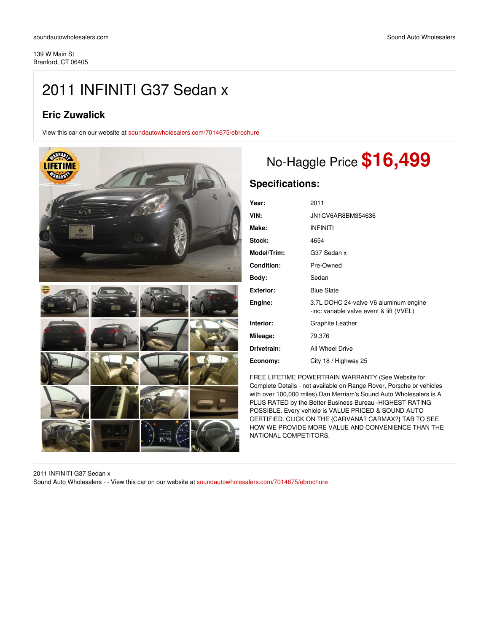# 2011 INFINITI G37 Sedan x

## **Eric Zuwalick**

View this car on our website at [soundautowholesalers.com/7014675/ebrochure](https://soundautowholesalers.com/vehicle/7014675/2011-infiniti-g37-sedan-x-branford-ct-06405/7014675/ebrochure)



# No-Haggle Price **\$16,499**

## **Specifications:**

| 2011                                                                              |
|-----------------------------------------------------------------------------------|
| JN1CV6AR8BM354636                                                                 |
| <b>INFINITI</b>                                                                   |
| 4654                                                                              |
| G37 Sedan x                                                                       |
| Pre-Owned                                                                         |
| Sedan                                                                             |
| <b>Blue Slate</b>                                                                 |
| 3.7L DOHC 24-valve V6 aluminum engine<br>-inc: variable valve event & lift (VVEL) |
| Graphite Leather                                                                  |
| 79,376                                                                            |
| All Wheel Drive                                                                   |
| City 18 / Highway 25                                                              |
|                                                                                   |

FREE LIFETIME POWERTRAIN WARRANTY (See Website for Complete Details - not available on Range Rover, Porsche or vehicles with over 100,000 miles).Dan Merriam's Sound Auto Wholesalers is A PLUS RATED by the Better Business Bureau -HIGHEST RATING POSSIBLE. Every vehicle is VALUE PRICED & SOUND AUTO CERTIFIED. CLICK ON THE {CARVANA? CARMAX?} TAB TO SEE HOW WE PROVIDE MORE VALUE AND CONVENIENCE THAN THE NATIONAL COMPETITORS.

2011 INFINITI G37 Sedan x Sound Auto Wholesalers - - View this car on our website at [soundautowholesalers.com/7014675/ebrochure](https://soundautowholesalers.com/vehicle/7014675/2011-infiniti-g37-sedan-x-branford-ct-06405/7014675/ebrochure)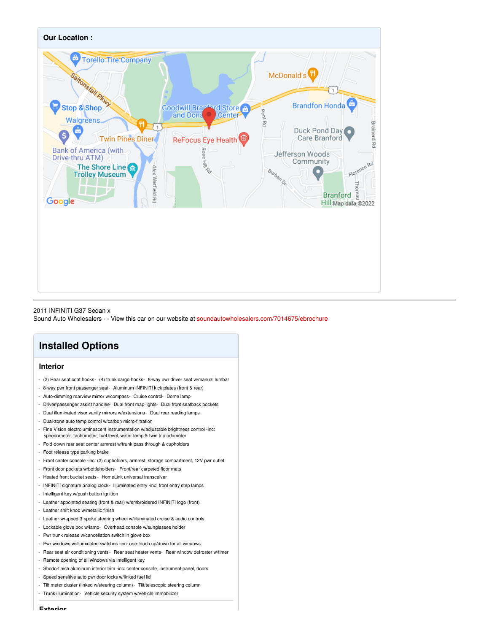

#### 2011 INFINITI G37 Sedan x

Sound Auto Wholesalers - - View this car on our website at [soundautowholesalers.com/7014675/ebrochure](https://soundautowholesalers.com/vehicle/7014675/2011-infiniti-g37-sedan-x-branford-ct-06405/7014675/ebrochure)

### **Installed Options**

#### **Interior**

- (2) Rear seat coat hooks- (4) trunk cargo hooks- 8-way pwr driver seat w/manual lumbar
- 8-way pwr front passenger seat- Aluminum INFINITI kick plates (front & rear)
- Auto-dimming rearview mirror w/compass- Cruise control- Dome lamp
- Driver/passenger assist handles- Dual front map lights- Dual front seatback pockets
- Dual illuminated visor vanity mirrors w/extensions- Dual rear reading lamps
- Dual-zone auto temp control w/carbon micro-filtration
- Fine Vision electroluminescent instrumentation w/adjustable brightness control -inc: speedometer, tachometer, fuel level, water temp & twin trip odometer
- Fold-down rear seat center armrest w/trunk pass through & cupholders
- Foot release type parking brake
- Front center console -inc: (2) cupholders, armrest, storage compartment, 12V pwr outlet
- Front door pockets w/bottleholders- Front/rear carpeted floor mats
- Heated front bucket seats HomeLink universal transceiver
- INFINITI signature analog clock- Illuminated entry -inc: front entry step lamps
- Intelligent key w/push button ignition
- Leather appointed seating (front & rear) w/embroidered INFINITI logo (front)
- Leather shift knob w/metallic finish
- Leather-wrapped 3-spoke steering wheel w/illuminated cruise & audio controls
- Lockable glove box w/lamp- Overhead console w/sunglasses holder
- Pwr trunk release w/cancellation switch in glove box
- Pwr windows w/illuminated switches -inc: one-touch up/down for all windows
- Rear seat air conditioning vents Rear seat heater vents Rear window defroster w/timer
- Remote opening of all windows via Intelligent key
- Shodo-finish aluminum interior trim -inc: center console, instrument panel, doors
- Speed sensitive auto pwr door locks w/linked fuel lid
- Tilt meter cluster (linked w/steering column)- Tilt/telescopic steering column
- Trunk illumination- Vehicle security system w/vehicle immobilizer

**Exterior**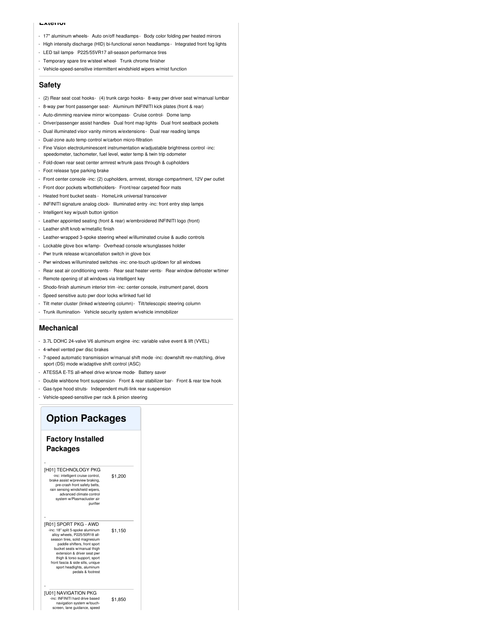#### **Exterior**

- 17" aluminum wheels- Auto on/off headlamps- Body color folding pwr heated mirrors
- High intensity discharge (HID) bi-functional xenon headlamps Integrated front fog lights
- LED tail lamps- P225/55VR17 all-season performance tires
- Temporary spare tire w/steel wheel- Trunk chrome finisher
- Vehicle-speed-sensitive intermittent windshield wipers w/mist function

#### **Safety**

- (2) Rear seat coat hooks- (4) trunk cargo hooks- 8-way pwr driver seat w/manual lumbar
- 8-way pwr front passenger seat- Aluminum INFINITI kick plates (front & rear)
- Auto-dimming rearview mirror w/compass- Cruise control- Dome lamp
- Driver/passenger assist handles- Dual front map lights- Dual front seatback pockets
- Dual illuminated visor vanity mirrors w/extensions- Dual rear reading lamps
- Dual-zone auto temp control w/carbon micro-filtration
- Fine Vision electroluminescent instrumentation w/adjustable brightness control -inc: speedometer, tachometer, fuel level, water temp & twin trip odometer
- Fold-down rear seat center armrest w/trunk pass through & cupholders
- Foot release type parking brake
- Front center console -inc: (2) cupholders, armrest, storage compartment, 12V pwr outlet
- Front door pockets w/bottleholders- Front/rear carpeted floor mats
- Heated front bucket seats HomeLink universal transceiver
- INFINITI signature analog clock- Illuminated entry -inc: front entry step lamps
- Intelligent key w/push button ignition
- Leather appointed seating (front & rear) w/embroidered INFINITI logo (front)
- Leather shift knob w/metallic finish
- Leather-wrapped 3-spoke steering wheel w/illuminated cruise & audio controls
- Lockable glove box w/lamp- Overhead console w/sunglasses holder
- Pwr trunk release w/cancellation switch in glove box
- Pwr windows w/illuminated switches -inc: one-touch up/down for all windows
- Rear seat air conditioning vents Rear seat heater vents Rear window defroster w/timer
- Remote opening of all windows via Intelligent key
- Shodo-finish aluminum interior trim -inc: center console, instrument panel, doors
- Speed sensitive auto pwr door locks w/linked fuel lid
- Tilt meter cluster (linked w/steering column)- Tilt/telescopic steering column
- Trunk illumination- Vehicle security system w/vehicle immobilizer

#### **Mechanical**

- 3.7L DOHC 24-valve V6 aluminum engine -inc: variable valve event & lift (VVEL)
- 4-wheel vented pwr disc brakes
- 7-speed automatic transmission w/manual shift mode -inc: downshift rev-matching, drive sport (DS) mode w/adaptive shift control (ASC)
- ATESSA E-TS all-wheel drive w/snow mode- Battery saver
- Double wishbone front suspension- Front & rear stabilizer bar- Front & rear tow hook
- Gas-type hood struts- Independent multi-link rear suspension
- Vehicle-speed-sensitive pwr rack & pinion steering

### **Option Packages**

#### **Factory Installed Packages**

-

| [H01] TECHNOLOGY PKG<br>-inc: intelligent cruise control,<br>brake assist w/preview braking,<br>pre-crash front safety belts.<br>rain sensing windshield wipers,<br>advanced climate control<br>system w/Plasmacluster air<br>purifier                                                                                                            | \$1,200 |
|---------------------------------------------------------------------------------------------------------------------------------------------------------------------------------------------------------------------------------------------------------------------------------------------------------------------------------------------------|---------|
| [R01] SPORT PKG - AWD<br>-inc: 18" split 5-spoke aluminum<br>allov wheels. P225/50R18 all-<br>season tires, solid magnesium<br>paddle shifters, front sport<br>bucket seats w/manual thigh<br>extension & driver seat pwr<br>thigh & torso support, sport<br>front fascia & side sills, unique<br>sport headlights, aluminum<br>pedals & footrest | \$1,150 |
| [U01] NAVIGATION PKG<br>-inc: INFINITI hard drive based<br>navigation system w/touch-<br>screen, lane guidance, speed                                                                                                                                                                                                                             | \$1,850 |